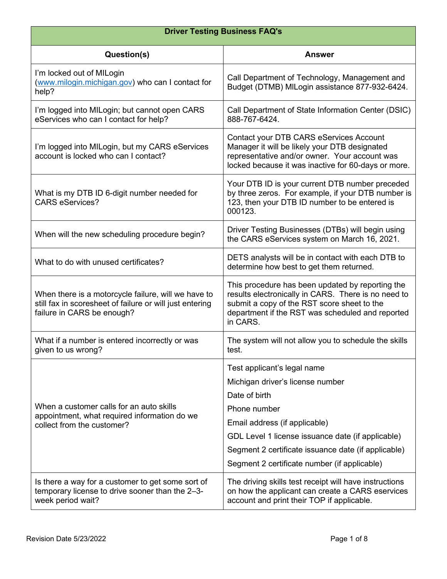| <b>Driver Testing Business FAQ's</b>                                                                                                          |                                                                                                                                                                                                                                                                                               |
|-----------------------------------------------------------------------------------------------------------------------------------------------|-----------------------------------------------------------------------------------------------------------------------------------------------------------------------------------------------------------------------------------------------------------------------------------------------|
| Question(s)                                                                                                                                   | <b>Answer</b>                                                                                                                                                                                                                                                                                 |
| I'm locked out of MILogin<br>(www.milogin.michigan.gov) who can I contact for<br>help?                                                        | Call Department of Technology, Management and<br>Budget (DTMB) MILogin assistance 877-932-6424.                                                                                                                                                                                               |
| I'm logged into MILogin; but cannot open CARS<br>eServices who can I contact for help?                                                        | Call Department of State Information Center (DSIC)<br>888-767-6424.                                                                                                                                                                                                                           |
| I'm logged into MILogin, but my CARS eServices<br>account is locked who can I contact?                                                        | Contact your DTB CARS eServices Account<br>Manager it will be likely your DTB designated<br>representative and/or owner. Your account was<br>locked because it was inactive for 60-days or more.                                                                                              |
| What is my DTB ID 6-digit number needed for<br><b>CARS eServices?</b>                                                                         | Your DTB ID is your current DTB number preceded<br>by three zeros. For example, if your DTB number is<br>123, then your DTB ID number to be entered is<br>000123.                                                                                                                             |
| When will the new scheduling procedure begin?                                                                                                 | Driver Testing Businesses (DTBs) will begin using<br>the CARS eServices system on March 16, 2021.                                                                                                                                                                                             |
| What to do with unused certificates?                                                                                                          | DETS analysts will be in contact with each DTB to<br>determine how best to get them returned.                                                                                                                                                                                                 |
| When there is a motorcycle failure, will we have to<br>still fax in scoresheet of failure or will just entering<br>failure in CARS be enough? | This procedure has been updated by reporting the<br>results electronically in CARS. There is no need to<br>submit a copy of the RST score sheet to the<br>department if the RST was scheduled and reported<br>in CARS.                                                                        |
| What if a number is entered incorrectly or was<br>given to us wrong?                                                                          | The system will not allow you to schedule the skills<br>test.                                                                                                                                                                                                                                 |
| When a customer calls for an auto skills<br>appointment, what required information do we<br>collect from the customer?                        | Test applicant's legal name<br>Michigan driver's license number<br>Date of birth<br>Phone number<br>Email address (if applicable)<br>GDL Level 1 license issuance date (if applicable)<br>Segment 2 certificate issuance date (if applicable)<br>Segment 2 certificate number (if applicable) |
| Is there a way for a customer to get some sort of<br>temporary license to drive sooner than the 2-3-<br>week period wait?                     | The driving skills test receipt will have instructions<br>on how the applicant can create a CARS eservices<br>account and print their TOP if applicable.                                                                                                                                      |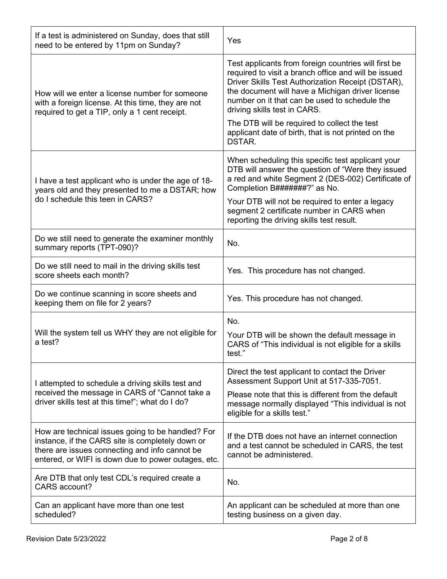| If a test is administered on Sunday, does that still<br>need to be entered by 11pm on Sunday?                                                                                                                  | Yes                                                                                                                                                                                                                                                                                                    |
|----------------------------------------------------------------------------------------------------------------------------------------------------------------------------------------------------------------|--------------------------------------------------------------------------------------------------------------------------------------------------------------------------------------------------------------------------------------------------------------------------------------------------------|
| How will we enter a license number for someone<br>with a foreign license. At this time, they are not<br>required to get a TIP, only a 1 cent receipt.                                                          | Test applicants from foreign countries will first be<br>required to visit a branch office and will be issued<br>Driver Skills Test Authorization Receipt (DSTAR),<br>the document will have a Michigan driver license<br>number on it that can be used to schedule the<br>driving skills test in CARS. |
|                                                                                                                                                                                                                | The DTB will be required to collect the test<br>applicant date of birth, that is not printed on the<br>DSTAR.                                                                                                                                                                                          |
| I have a test applicant who is under the age of 18-<br>years old and they presented to me a DSTAR; how<br>do I schedule this teen in CARS?                                                                     | When scheduling this specific test applicant your<br>DTB will answer the question of "Were they issued<br>a red and white Segment 2 (DES-002) Certificate of<br>Completion B#######?" as No.<br>Your DTB will not be required to enter a legacy                                                        |
|                                                                                                                                                                                                                | segment 2 certificate number in CARS when<br>reporting the driving skills test result.                                                                                                                                                                                                                 |
| Do we still need to generate the examiner monthly<br>summary reports (TPT-090)?                                                                                                                                | No.                                                                                                                                                                                                                                                                                                    |
| Do we still need to mail in the driving skills test<br>score sheets each month?                                                                                                                                | Yes. This procedure has not changed.                                                                                                                                                                                                                                                                   |
| Do we continue scanning in score sheets and<br>keeping them on file for 2 years?                                                                                                                               | Yes. This procedure has not changed.                                                                                                                                                                                                                                                                   |
| Will the system tell us WHY they are not eligible for<br>a test?                                                                                                                                               | No.<br>Your DTB will be shown the default message in<br>CARS of "This individual is not eligible for a skills<br>test."                                                                                                                                                                                |
| I attempted to schedule a driving skills test and<br>received the message in CARS of "Cannot take a<br>driver skills test at this time!"; what do I do?                                                        | Direct the test applicant to contact the Driver<br>Assessment Support Unit at 517-335-7051.                                                                                                                                                                                                            |
|                                                                                                                                                                                                                | Please note that this is different from the default<br>message normally displayed "This individual is not<br>eligible for a skills test."                                                                                                                                                              |
| How are technical issues going to be handled? For<br>instance, if the CARS site is completely down or<br>there are issues connecting and info cannot be<br>entered, or WIFI is down due to power outages, etc. | If the DTB does not have an internet connection<br>and a test cannot be scheduled in CARS, the test<br>cannot be administered.                                                                                                                                                                         |
| Are DTB that only test CDL's required create a<br>CARS account?                                                                                                                                                | No.                                                                                                                                                                                                                                                                                                    |
| Can an applicant have more than one test<br>scheduled?                                                                                                                                                         | An applicant can be scheduled at more than one<br>testing business on a given day.                                                                                                                                                                                                                     |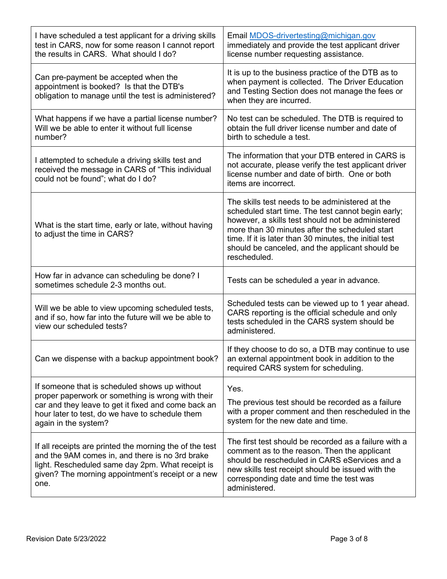| I have scheduled a test applicant for a driving skills<br>test in CARS, now for some reason I cannot report<br>the results in CARS. What should I do?                                                                                | Email MDOS-drivertesting@michigan.gov<br>immediately and provide the test applicant driver<br>license number requesting assistance.                                                                                                                                                                                                       |
|--------------------------------------------------------------------------------------------------------------------------------------------------------------------------------------------------------------------------------------|-------------------------------------------------------------------------------------------------------------------------------------------------------------------------------------------------------------------------------------------------------------------------------------------------------------------------------------------|
| Can pre-payment be accepted when the<br>appointment is booked? Is that the DTB's<br>obligation to manage until the test is administered?                                                                                             | It is up to the business practice of the DTB as to<br>when payment is collected. The Driver Education<br>and Testing Section does not manage the fees or<br>when they are incurred.                                                                                                                                                       |
| What happens if we have a partial license number?<br>Will we be able to enter it without full license<br>number?                                                                                                                     | No test can be scheduled. The DTB is required to<br>obtain the full driver license number and date of<br>birth to schedule a test.                                                                                                                                                                                                        |
| I attempted to schedule a driving skills test and<br>received the message in CARS of "This individual<br>could not be found"; what do I do?                                                                                          | The information that your DTB entered in CARS is<br>not accurate, please verify the test applicant driver<br>license number and date of birth. One or both<br>items are incorrect.                                                                                                                                                        |
| What is the start time, early or late, without having<br>to adjust the time in CARS?                                                                                                                                                 | The skills test needs to be administered at the<br>scheduled start time. The test cannot begin early;<br>however, a skills test should not be administered<br>more than 30 minutes after the scheduled start<br>time. If it is later than 30 minutes, the initial test<br>should be canceled, and the applicant should be<br>rescheduled. |
| How far in advance can scheduling be done? I<br>sometimes schedule 2-3 months out.                                                                                                                                                   | Tests can be scheduled a year in advance.                                                                                                                                                                                                                                                                                                 |
| Will we be able to view upcoming scheduled tests,<br>and if so, how far into the future will we be able to<br>view our scheduled tests?                                                                                              | Scheduled tests can be viewed up to 1 year ahead.<br>CARS reporting is the official schedule and only<br>tests scheduled in the CARS system should be<br>administered.                                                                                                                                                                    |
| Can we dispense with a backup appointment book?                                                                                                                                                                                      | If they choose to do so, a DTB may continue to use<br>an external appointment book in addition to the<br>required CARS system for scheduling.                                                                                                                                                                                             |
| If someone that is scheduled shows up without<br>proper paperwork or something is wrong with their<br>car and they leave to get it fixed and come back an<br>hour later to test, do we have to schedule them<br>again in the system? | Yes.<br>The previous test should be recorded as a failure<br>with a proper comment and then rescheduled in the<br>system for the new date and time.                                                                                                                                                                                       |
| If all receipts are printed the morning the of the test<br>and the 9AM comes in, and there is no 3rd brake<br>light. Rescheduled same day 2pm. What receipt is<br>given? The morning appointment's receipt or a new<br>one.          | The first test should be recorded as a failure with a<br>comment as to the reason. Then the applicant<br>should be rescheduled in CARS eServices and a<br>new skills test receipt should be issued with the<br>corresponding date and time the test was<br>administered.                                                                  |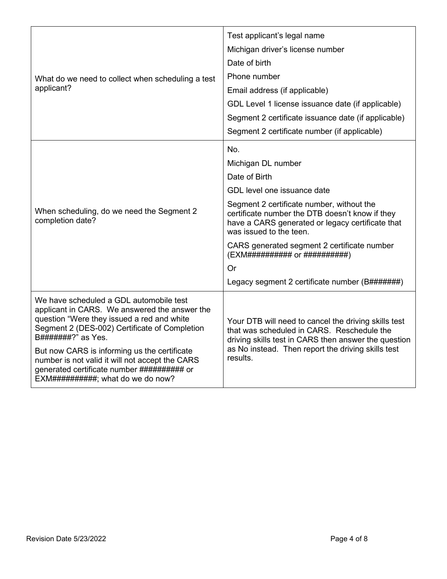| What do we need to collect when scheduling a test<br>applicant?                                                                                                                                                                                                                                                                                                                                       | Test applicant's legal name<br>Michigan driver's license number<br>Date of birth<br>Phone number<br>Email address (if applicable)<br>GDL Level 1 license issuance date (if applicable)<br>Segment 2 certificate issuance date (if applicable)<br>Segment 2 certificate number (if applicable)                                                                                                     |
|-------------------------------------------------------------------------------------------------------------------------------------------------------------------------------------------------------------------------------------------------------------------------------------------------------------------------------------------------------------------------------------------------------|---------------------------------------------------------------------------------------------------------------------------------------------------------------------------------------------------------------------------------------------------------------------------------------------------------------------------------------------------------------------------------------------------|
| When scheduling, do we need the Segment 2<br>completion date?                                                                                                                                                                                                                                                                                                                                         | No.<br>Michigan DL number<br>Date of Birth<br>GDL level one issuance date<br>Segment 2 certificate number, without the<br>certificate number the DTB doesn't know if they<br>have a CARS generated or legacy certificate that<br>was issued to the teen.<br>CARS generated segment 2 certificate number<br>(EXM########## or ###########)<br>Or<br>Legacy segment 2 certificate number (B#######) |
| We have scheduled a GDL automobile test<br>applicant in CARS. We answered the answer the<br>question "Were they issued a red and white<br>Segment 2 (DES-002) Certificate of Completion<br>B#######?" as Yes.<br>But now CARS is informing us the certificate<br>number is not valid it will not accept the CARS<br>generated certificate number ########### or<br>EXM###########; what do we do now? | Your DTB will need to cancel the driving skills test<br>that was scheduled in CARS. Reschedule the<br>driving skills test in CARS then answer the question<br>as No instead. Then report the driving skills test<br>results.                                                                                                                                                                      |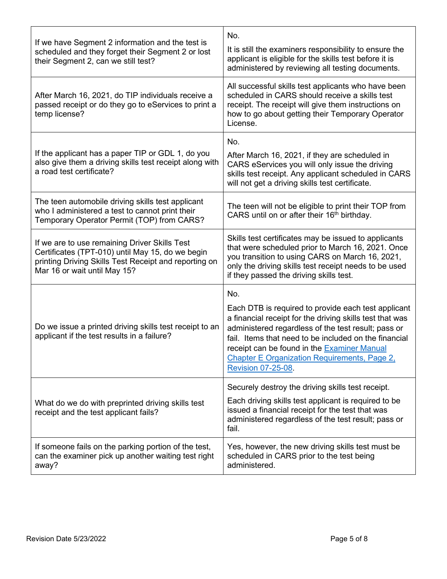| If we have Segment 2 information and the test is<br>scheduled and they forget their Segment 2 or lost<br>their Segment 2, can we still test?                                               | No.<br>It is still the examiners responsibility to ensure the<br>applicant is eligible for the skills test before it is<br>administered by reviewing all testing documents.                                                                                                                                                                                              |
|--------------------------------------------------------------------------------------------------------------------------------------------------------------------------------------------|--------------------------------------------------------------------------------------------------------------------------------------------------------------------------------------------------------------------------------------------------------------------------------------------------------------------------------------------------------------------------|
| After March 16, 2021, do TIP individuals receive a<br>passed receipt or do they go to eServices to print a<br>temp license?                                                                | All successful skills test applicants who have been<br>scheduled in CARS should receive a skills test<br>receipt. The receipt will give them instructions on<br>how to go about getting their Temporary Operator<br>License.                                                                                                                                             |
| If the applicant has a paper TIP or GDL 1, do you<br>also give them a driving skills test receipt along with<br>a road test certificate?                                                   | No.<br>After March 16, 2021, if they are scheduled in<br>CARS eServices you will only issue the driving<br>skills test receipt. Any applicant scheduled in CARS<br>will not get a driving skills test certificate.                                                                                                                                                       |
| The teen automobile driving skills test applicant<br>who I administered a test to cannot print their<br>Temporary Operator Permit (TOP) from CARS?                                         | The teen will not be eligible to print their TOP from<br>CARS until on or after their 16 <sup>th</sup> birthday.                                                                                                                                                                                                                                                         |
| If we are to use remaining Driver Skills Test<br>Certificates (TPT-010) until May 15, do we begin<br>printing Driving Skills Test Receipt and reporting on<br>Mar 16 or wait until May 15? | Skills test certificates may be issued to applicants<br>that were scheduled prior to March 16, 2021. Once<br>you transition to using CARS on March 16, 2021,<br>only the driving skills test receipt needs to be used<br>if they passed the driving skills test.                                                                                                         |
| Do we issue a printed driving skills test receipt to an<br>applicant if the test results in a failure?                                                                                     | No.<br>Each DTB is required to provide each test applicant<br>a financial receipt for the driving skills test that was<br>administered regardless of the test result; pass or<br>fail. Items that need to be included on the financial<br>receipt can be found in the Examiner Manual<br><b>Chapter E Organization Requirements, Page 2,</b><br><b>Revision 07-25-08</b> |
| What do we do with preprinted driving skills test<br>receipt and the test applicant fails?                                                                                                 | Securely destroy the driving skills test receipt.<br>Each driving skills test applicant is required to be<br>issued a financial receipt for the test that was<br>administered regardless of the test result; pass or<br>fail.                                                                                                                                            |
| If someone fails on the parking portion of the test,<br>can the examiner pick up another waiting test right<br>away?                                                                       | Yes, however, the new driving skills test must be<br>scheduled in CARS prior to the test being<br>administered.                                                                                                                                                                                                                                                          |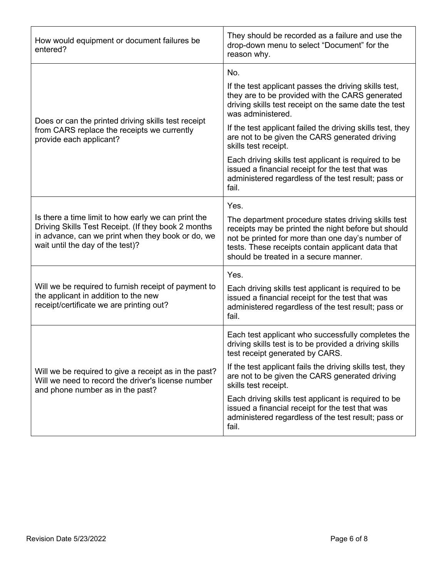| How would equipment or document failures be<br>entered?                                                                                                                                             | They should be recorded as a failure and use the<br>drop-down menu to select "Document" for the<br>reason why.                                                                                                                                                                                                                        |
|-----------------------------------------------------------------------------------------------------------------------------------------------------------------------------------------------------|---------------------------------------------------------------------------------------------------------------------------------------------------------------------------------------------------------------------------------------------------------------------------------------------------------------------------------------|
| Does or can the printed driving skills test receipt<br>from CARS replace the receipts we currently<br>provide each applicant?                                                                       | No.<br>If the test applicant passes the driving skills test,<br>they are to be provided with the CARS generated<br>driving skills test receipt on the same date the test<br>was administered.<br>If the test applicant failed the driving skills test, they<br>are not to be given the CARS generated driving<br>skills test receipt. |
|                                                                                                                                                                                                     | Each driving skills test applicant is required to be<br>issued a financial receipt for the test that was<br>administered regardless of the test result; pass or<br>fail.                                                                                                                                                              |
| Is there a time limit to how early we can print the<br>Driving Skills Test Receipt. (If they book 2 months<br>in advance, can we print when they book or do, we<br>wait until the day of the test)? | Yes.<br>The department procedure states driving skills test<br>receipts may be printed the night before but should<br>not be printed for more than one day's number of<br>tests. These receipts contain applicant data that<br>should be treated in a secure manner.                                                                  |
| Will we be required to furnish receipt of payment to<br>the applicant in addition to the new<br>receipt/certificate we are printing out?                                                            | Yes.<br>Each driving skills test applicant is required to be<br>issued a financial receipt for the test that was<br>administered regardless of the test result; pass or<br>fail.                                                                                                                                                      |
| Will we be required to give a receipt as in the past?<br>Will we need to record the driver's license number<br>and phone number as in the past?                                                     | Each test applicant who successfully completes the<br>driving skills test is to be provided a driving skills<br>test receipt generated by CARS.                                                                                                                                                                                       |
|                                                                                                                                                                                                     | If the test applicant fails the driving skills test, they<br>are not to be given the CARS generated driving<br>skills test receipt.                                                                                                                                                                                                   |
|                                                                                                                                                                                                     | Each driving skills test applicant is required to be<br>issued a financial receipt for the test that was<br>administered regardless of the test result; pass or<br>fail.                                                                                                                                                              |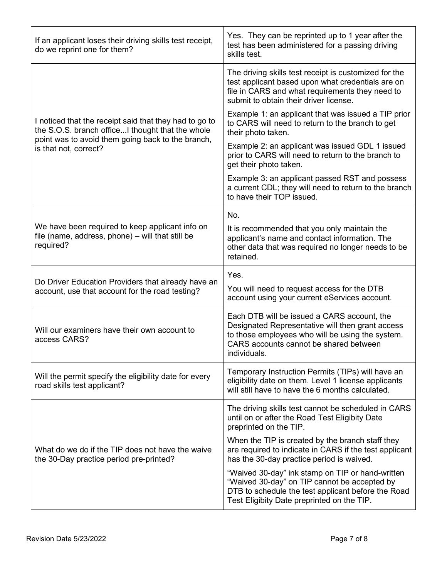| If an applicant loses their driving skills test receipt,<br>do we reprint one for them?                                                                                                  | Yes. They can be reprinted up to 1 year after the<br>test has been administered for a passing driving<br>skills test.                                                                                         |
|------------------------------------------------------------------------------------------------------------------------------------------------------------------------------------------|---------------------------------------------------------------------------------------------------------------------------------------------------------------------------------------------------------------|
| I noticed that the receipt said that they had to go to<br>the S.O.S. branch officeI thought that the whole<br>point was to avoid them going back to the branch,<br>is that not, correct? | The driving skills test receipt is customized for the<br>test applicant based upon what credentials are on<br>file in CARS and what requirements they need to<br>submit to obtain their driver license.       |
|                                                                                                                                                                                          | Example 1: an applicant that was issued a TIP prior<br>to CARS will need to return to the branch to get<br>their photo taken.                                                                                 |
|                                                                                                                                                                                          | Example 2: an applicant was issued GDL 1 issued<br>prior to CARS will need to return to the branch to<br>get their photo taken.                                                                               |
|                                                                                                                                                                                          | Example 3: an applicant passed RST and possess<br>a current CDL; they will need to return to the branch<br>to have their TOP issued.                                                                          |
|                                                                                                                                                                                          | No.                                                                                                                                                                                                           |
| We have been required to keep applicant info on<br>file (name, address, phone) - will that still be<br>required?                                                                         | It is recommended that you only maintain the<br>applicant's name and contact information. The<br>other data that was required no longer needs to be<br>retained.                                              |
| Do Driver Education Providers that already have an<br>account, use that account for the road testing?                                                                                    | Yes.<br>You will need to request access for the DTB<br>account using your current eServices account.                                                                                                          |
| Will our examiners have their own account to<br>access CARS?                                                                                                                             | Each DTB will be issued a CARS account, the<br>Designated Representative will then grant access<br>to those employees who will be using the system.<br>CARS accounts cannot be shared between<br>individuals. |
| Will the permit specify the eligibility date for every<br>road skills test applicant?                                                                                                    | Temporary Instruction Permits (TIPs) will have an<br>eligibility date on them. Level 1 license applicants<br>will still have to have the 6 months calculated.                                                 |
| What do we do if the TIP does not have the waive<br>the 30-Day practice period pre-printed?                                                                                              | The driving skills test cannot be scheduled in CARS<br>until on or after the Road Test Eligibity Date<br>preprinted on the TIP.                                                                               |
|                                                                                                                                                                                          | When the TIP is created by the branch staff they<br>are required to indicate in CARS if the test applicant<br>has the 30-day practice period is waived.                                                       |
|                                                                                                                                                                                          | "Waived 30-day" ink stamp on TIP or hand-written<br>"Waived 30-day" on TIP cannot be accepted by<br>DTB to schedule the test applicant before the Road                                                        |